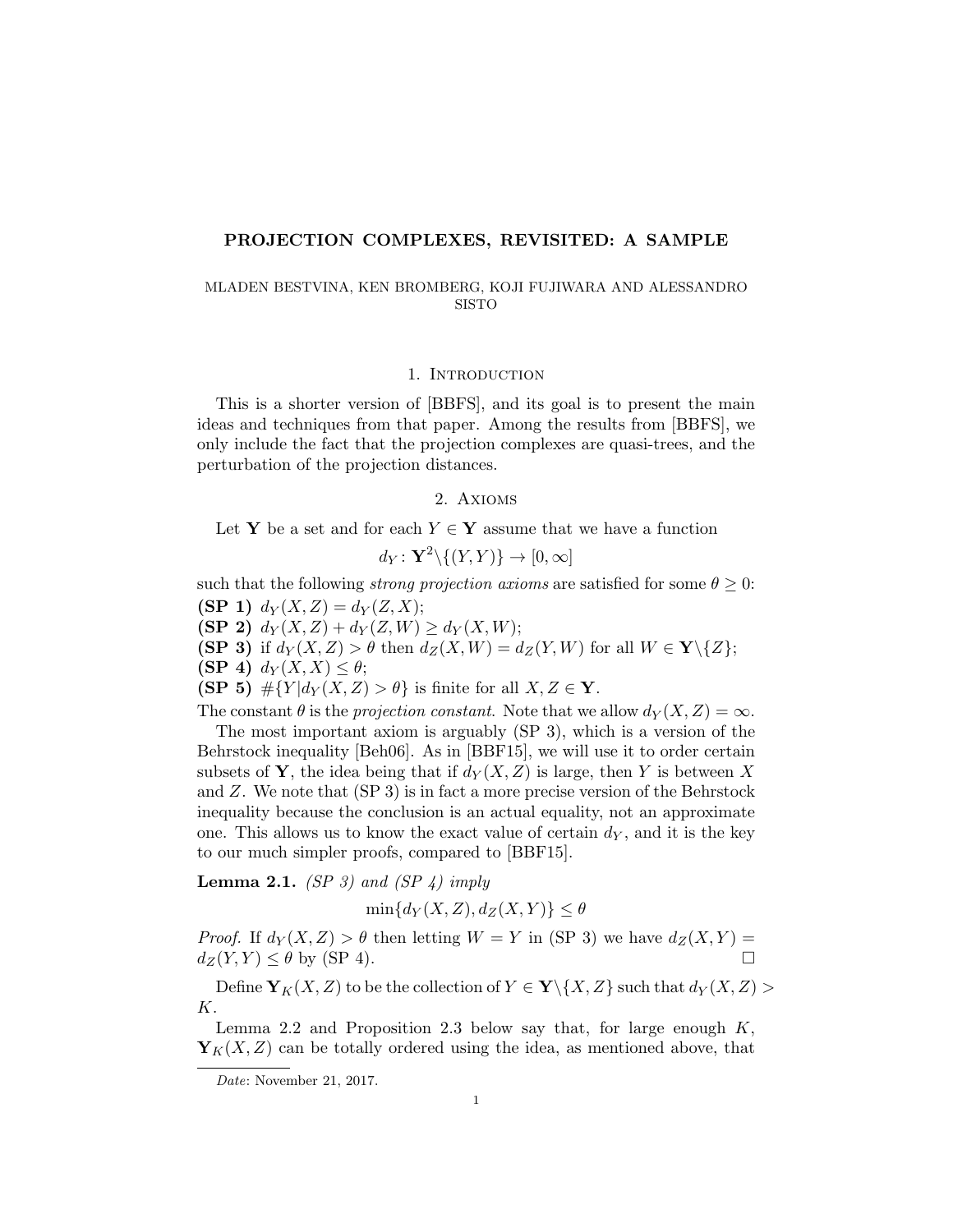### PROJECTION COMPLEXES, REVISITED: A SAMPLE

## MLADEN BESTVINA, KEN BROMBERG, KOJI FUJIWARA AND ALESSANDRO SISTO

## 1. INTRODUCTION

This is a shorter version of [BBFS], and its goal is to present the main ideas and techniques from that paper. Among the results from [BBFS], we only include the fact that the projection complexes are quasi-trees, and the perturbation of the projection distances.

## 2. Axioms

Let Y be a set and for each  $Y \in Y$  assume that we have a function

$$
d_Y\colon\mathbf{Y}^2\backslash\{(Y,Y)\}\to[0,\infty]
$$

such that the following *strong projection axioms* are satisfied for some  $\theta \geq 0$ :

(SP 1)  $d_Y(X, Z) = d_Y(Z, X);$ 

(SP 2)  $d_Y(X, Z) + d_Y(Z, W) \ge d_Y(X, W);$ 

- (SP 3) if  $d_Y(X, Z) > \theta$  then  $d_Z(X, W) = d_Z(Y, W)$  for all  $W \in \mathbf{Y} \setminus \{Z\};$
- (SP 4)  $d_Y(X, X) \leq \theta$ ;

 $(SP 5)$  # ${Y|d_Y(X,Z) > \theta}$  is finite for all  $X, Z \in Y$ .

The constant  $\theta$  is the projection constant. Note that we allow  $d_Y(X, Z) = \infty$ .

The most important axiom is arguably (SP 3), which is a version of the Behrstock inequality [Beh06]. As in [BBF15], we will use it to order certain subsets of Y, the idea being that if  $d_Y(X, Z)$  is large, then Y is between X and Z. We note that (SP 3) is in fact a more precise version of the Behrstock inequality because the conclusion is an actual equality, not an approximate one. This allows us to know the exact value of certain  $d_Y$ , and it is the key to our much simpler proofs, compared to [BBF15].

**Lemma 2.1.** (SP 3) and (SP 4) imply

$$
\min\{d_Y(X,Z), d_Z(X,Y)\} \le \theta
$$

*Proof.* If  $d_Y(X, Z) > \theta$  then letting  $W = Y$  in (SP 3) we have  $d_Z(X, Y) =$  $d_Z(Y, Y) \leq \theta$  by (SP 4).

Define  $\mathbf{Y}_K(X,Z)$  to be the collection of  $Y \in \mathbf{Y} \backslash \{X,Z\}$  such that  $d_Y(X,Z)$ K.

Lemma 2.2 and Proposition 2.3 below say that, for large enough  $K$ ,  $\mathbf{Y}_K(X,Z)$  can be totally ordered using the idea, as mentioned above, that

Date: November 21, 2017.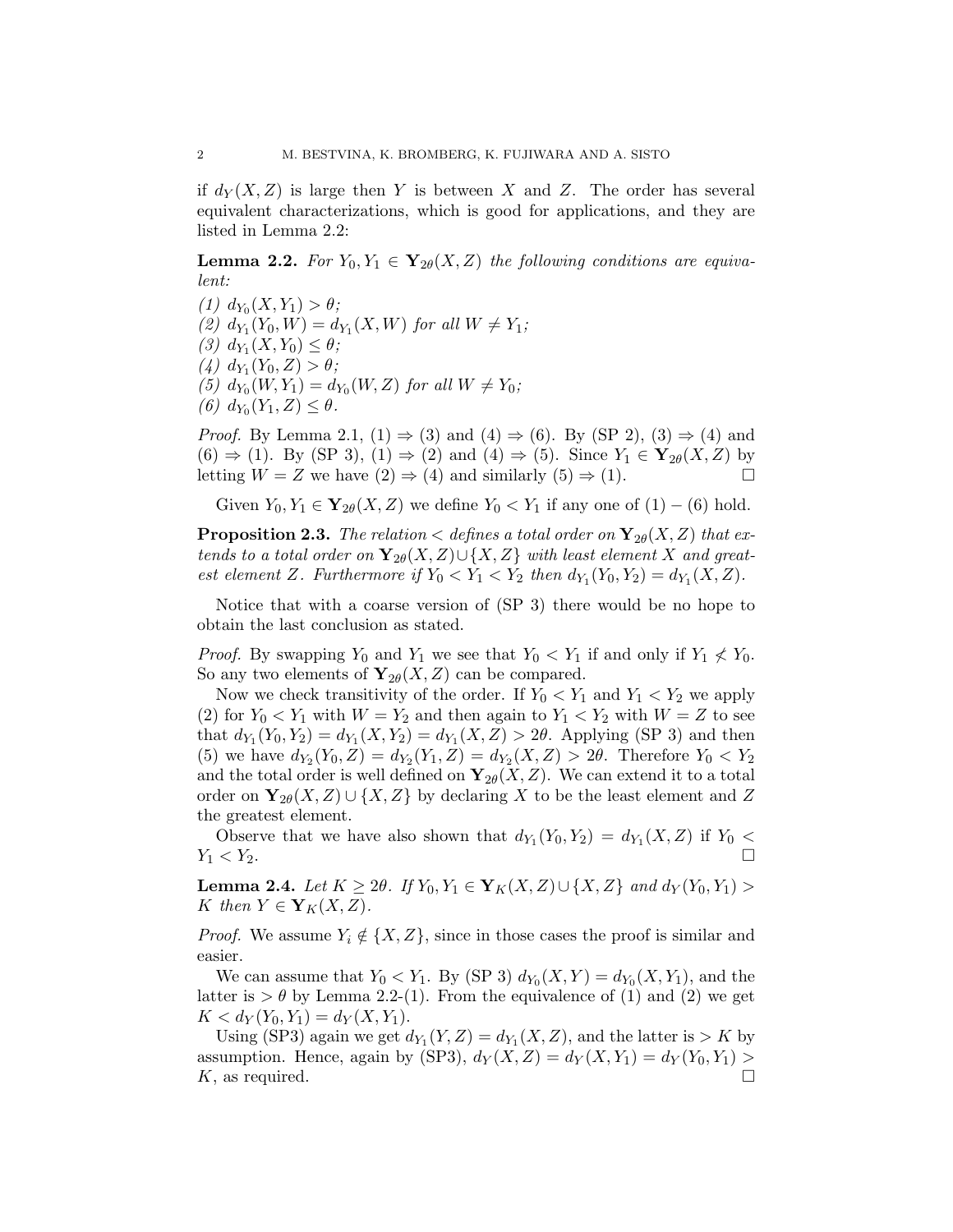if  $d_Y(X, Z)$  is large then Y is between X and Z. The order has several equivalent characterizations, which is good for applications, and they are listed in Lemma 2.2:

**Lemma 2.2.** For  $Y_0, Y_1 \in Y_{2\theta}(X, Z)$  the following conditions are equivalent:

(1)  $d_{Y_0}(X, Y_1) > \theta;$ (2)  $d_{Y_1}(Y_0, W) = d_{Y_1}(X, W)$  for all  $W \neq Y_1$ ; (3)  $d_{Y_1}(X, Y_0) \le \theta;$ (4)  $d_{Y_1}(Y_0, Z) > \theta;$ (5)  $d_{Y_0}(W, Y_1) = d_{Y_0}(W, Z)$  for all  $W \neq Y_0$ ; (6)  $d_{Y_0}(Y_1, Z) \le \theta$ .

*Proof.* By Lemma 2.1, (1)  $\Rightarrow$  (3) and (4)  $\Rightarrow$  (6). By (SP 2), (3)  $\Rightarrow$  (4) and  $(6) \Rightarrow (1)$ . By (SP 3),  $(1) \Rightarrow (2)$  and  $(4) \Rightarrow (5)$ . Since  $Y_1 \in Y_{2\theta}(X, Z)$  by letting  $W = Z$  we have  $(2) \Rightarrow (4)$  and similarly  $(5) \Rightarrow (1)$ .

Given  $Y_0, Y_1 \in \mathbf{Y}_{2\theta}(X, Z)$  we define  $Y_0 < Y_1$  if any one of  $(1) - (6)$  hold.

**Proposition 2.3.** The relation  $\lt$  defines a total order on  $\mathbf{Y}_{2\theta}(X, Z)$  that extends to a total order on  $\mathbf{Y}_{2\theta}(X, Z) \cup \{X, Z\}$  with least element X and greatest element Z. Furthermore if  $Y_0 < Y_1 < Y_2$  then  $d_{Y_1}(Y_0, Y_2) = d_{Y_1}(X, Z)$ .

Notice that with a coarse version of (SP 3) there would be no hope to obtain the last conclusion as stated.

*Proof.* By swapping  $Y_0$  and  $Y_1$  we see that  $Y_0 < Y_1$  if and only if  $Y_1 \nless Y_0$ . So any two elements of  $Y_{2\theta}(X, Z)$  can be compared.

Now we check transitivity of the order. If  $Y_0 < Y_1$  and  $Y_1 < Y_2$  we apply (2) for  $Y_0 < Y_1$  with  $W = Y_2$  and then again to  $Y_1 < Y_2$  with  $W = Z$  to see that  $d_{Y_1}(Y_0, Y_2) = d_{Y_1}(X, Y_2) = d_{Y_1}(X, Z) > 2\theta$ . Applying (SP 3) and then (5) we have  $d_{Y_2}(Y_0, Z) = d_{Y_2}(Y_1, Z) = d_{Y_2}(X, Z) > 2\theta$ . Therefore  $Y_0 < Y_2$ and the total order is well defined on  $\mathbf{Y}_{2\theta}(X, Z)$ . We can extend it to a total order on  $\mathbf{Y}_{2\theta}(X, Z) \cup \{X, Z\}$  by declaring X to be the least element and Z the greatest element.

Observe that we have also shown that  $d_{Y_1}(Y_0, Y_2) = d_{Y_1}(X, Z)$  if  $Y_0 <$  $Y_1 < Y_2$ .

**Lemma 2.4.** Let  $K \geq 2\theta$ . If  $Y_0, Y_1 \in Y_K(X,Z) \cup \{X,Z\}$  and  $d_Y(Y_0,Y_1)$ K then  $Y \in Y_K(X,Z)$ .

*Proof.* We assume  $Y_i \notin \{X, Z\}$ , since in those cases the proof is similar and easier.

We can assume that  $Y_0 < Y_1$ . By (SP 3)  $d_{Y_0}(X, Y) = d_{Y_0}(X, Y_1)$ , and the latter is  $> \theta$  by Lemma 2.2-(1). From the equivalence of (1) and (2) we get  $K < d_Y(Y_0, Y_1) = d_Y(X, Y_1).$ 

Using (SP3) again we get  $d_{Y_1}(Y, Z) = d_{Y_1}(X, Z)$ , and the latter is  $> K$  by assumption. Hence, again by (SP3),  $d_Y(X, Z) = d_Y(X, Y_1) = d_Y(Y_0, Y_1)$  $K$ , as required.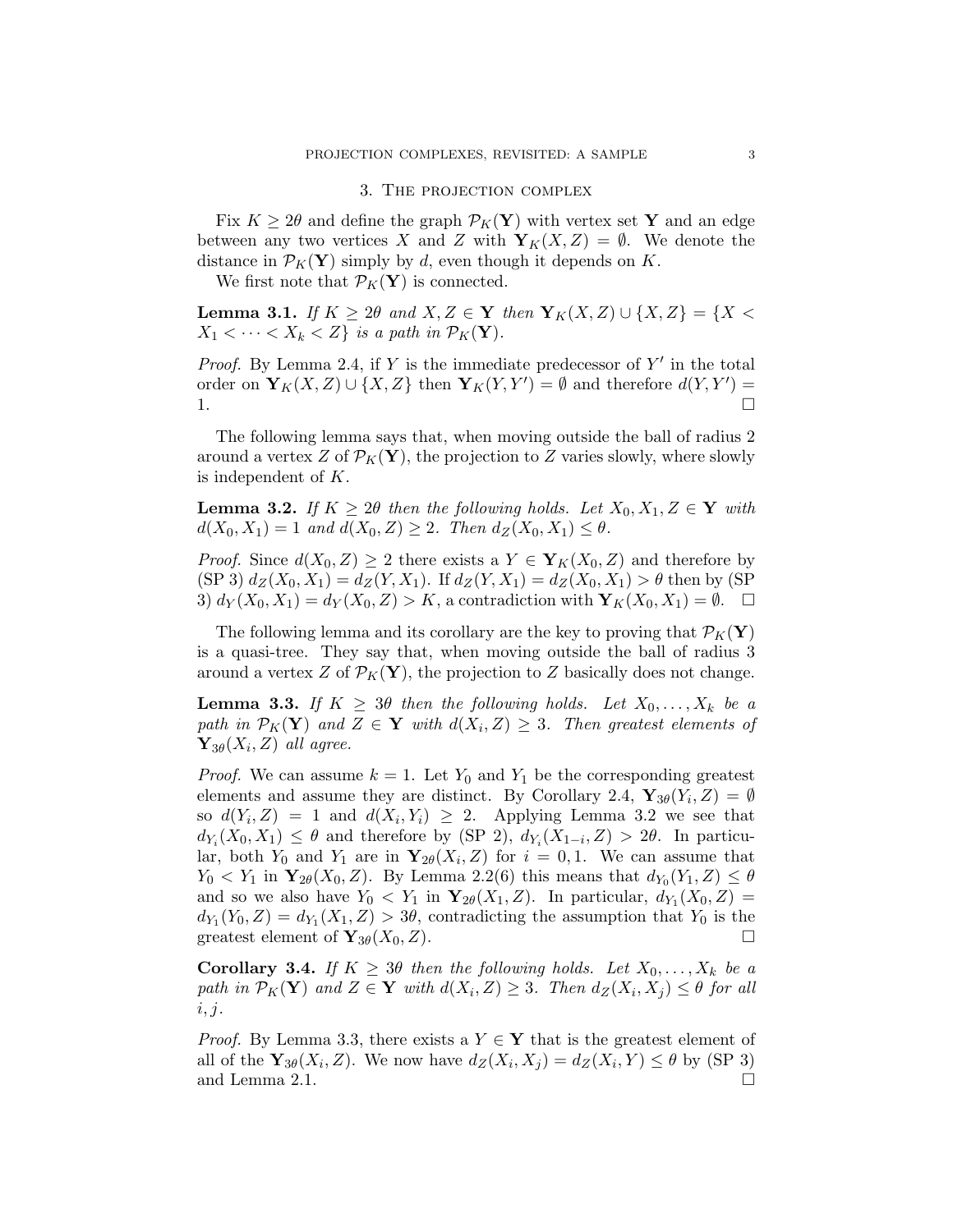#### 3. The projection complex

Fix  $K \geq 2\theta$  and define the graph  $\mathcal{P}_K(\mathbf{Y})$  with vertex set Y and an edge between any two vertices X and Z with  $\mathbf{Y}_K(X,Z) = \emptyset$ . We denote the distance in  $\mathcal{P}_K(\mathbf{Y})$  simply by d, even though it depends on K.

We first note that  $\mathcal{P}_K(\mathbf{Y})$  is connected.

**Lemma 3.1.** If  $K \geq 2\theta$  and  $X, Z \in \mathbf{Y}$  then  $\mathbf{Y}_K(X, Z) \cup \{X, Z\} = \{X \leq \theta \mid X \leq \theta \leq \theta \}$  $X_1 < \cdots < X_k < Z$  is a path in  $\mathcal{P}_K(\mathbf{Y})$ .

*Proof.* By Lemma 2.4, if Y is the immediate predecessor of  $Y'$  in the total order on  $\mathbf{Y}_K(X,Z) \cup \{X,Z\}$  then  $\mathbf{Y}_K(Y,Y') = \emptyset$  and therefore  $d(Y,Y') =$ 1.

The following lemma says that, when moving outside the ball of radius 2 around a vertex Z of  $\mathcal{P}_K(\mathbf{Y})$ , the projection to Z varies slowly, where slowly is independent of K.

**Lemma 3.2.** If  $K \geq 2\theta$  then the following holds. Let  $X_0, X_1, Z \in \mathbf{Y}$  with  $d(X_0, X_1) = 1$  and  $d(X_0, Z) \geq 2$ . Then  $d_Z(X_0, X_1) \leq \theta$ .

*Proof.* Since  $d(X_0, Z) \geq 2$  there exists a  $Y \in Y_K(X_0, Z)$  and therefore by (SP 3)  $d_Z(X_0, X_1) = d_Z(Y, X_1)$ . If  $d_Z(Y, X_1) = d_Z(X_0, X_1) > \theta$  then by (SP 3)  $d_Y(X_0, X_1) = d_Y(X_0, Z) > K$ , a contradiction with  $\mathbf{Y}_K(X_0, X_1) = \emptyset$ .  $\Box$ 

The following lemma and its corollary are the key to proving that  $\mathcal{P}_K(\mathbf{Y})$ is a quasi-tree. They say that, when moving outside the ball of radius 3 around a vertex Z of  $\mathcal{P}_K(\mathbf{Y})$ , the projection to Z basically does not change.

**Lemma 3.3.** If  $K \geq 3\theta$  then the following holds. Let  $X_0, \ldots, X_k$  be a path in  $\mathcal{P}_K(\mathbf{Y})$  and  $Z \in \mathbf{Y}$  with  $d(X_i, Z) \geq 3$ . Then greatest elements of  $\mathbf{Y}_{3\theta}(X_i, Z)$  all agree.

*Proof.* We can assume  $k = 1$ . Let  $Y_0$  and  $Y_1$  be the corresponding greatest elements and assume they are distinct. By Corollary 2.4,  $\mathbf{Y}_{3\theta}(Y_i, Z) = \emptyset$ so  $d(Y_i, Z) = 1$  and  $d(X_i, Y_i) \geq 2$ . Applying Lemma 3.2 we see that  $d_{Y_i}(X_0, X_1) \leq \theta$  and therefore by (SP 2),  $d_{Y_i}(X_{1-i}, Z) > 2\theta$ . In particular, both  $Y_0$  and  $Y_1$  are in  $\mathbf{Y}_{2\theta}(X_i, Z)$  for  $i = 0, 1$ . We can assume that  $Y_0 < Y_1$  in  $\mathbf{Y}_{2\theta}(X_0, Z)$ . By Lemma 2.2(6) this means that  $d_{Y_0}(Y_1, Z) \le \theta$ and so we also have  $Y_0 < Y_1$  in  $\mathbf{Y}_{2\theta}(X_1, Z)$ . In particular,  $d_{Y_1}(X_0, Z) =$  $d_{Y_1}(Y_0, Z) = d_{Y_1}(X_1, Z) > 3\theta$ , contradicting the assumption that  $Y_0$  is the greatest element of  $\mathbf{Y}_{3\theta}(X_0, Z)$ .

**Corollary 3.4.** If  $K \geq 3\theta$  then the following holds. Let  $X_0, \ldots, X_k$  be a path in  $\mathcal{P}_K(\mathbf{Y})$  and  $Z \in \mathbf{Y}$  with  $d(X_i, Z) \geq 3$ . Then  $d_Z(X_i, X_j) \leq \theta$  for all  $i, j.$ 

*Proof.* By Lemma 3.3, there exists a  $Y \in Y$  that is the greatest element of all of the  $\mathbf{Y}_{3\theta}(X_i, Z)$ . We now have  $d_Z(X_i, X_j) = d_Z(X_i, Y) \le \theta$  by (SP 3) and Lemma 2.1.  $\Box$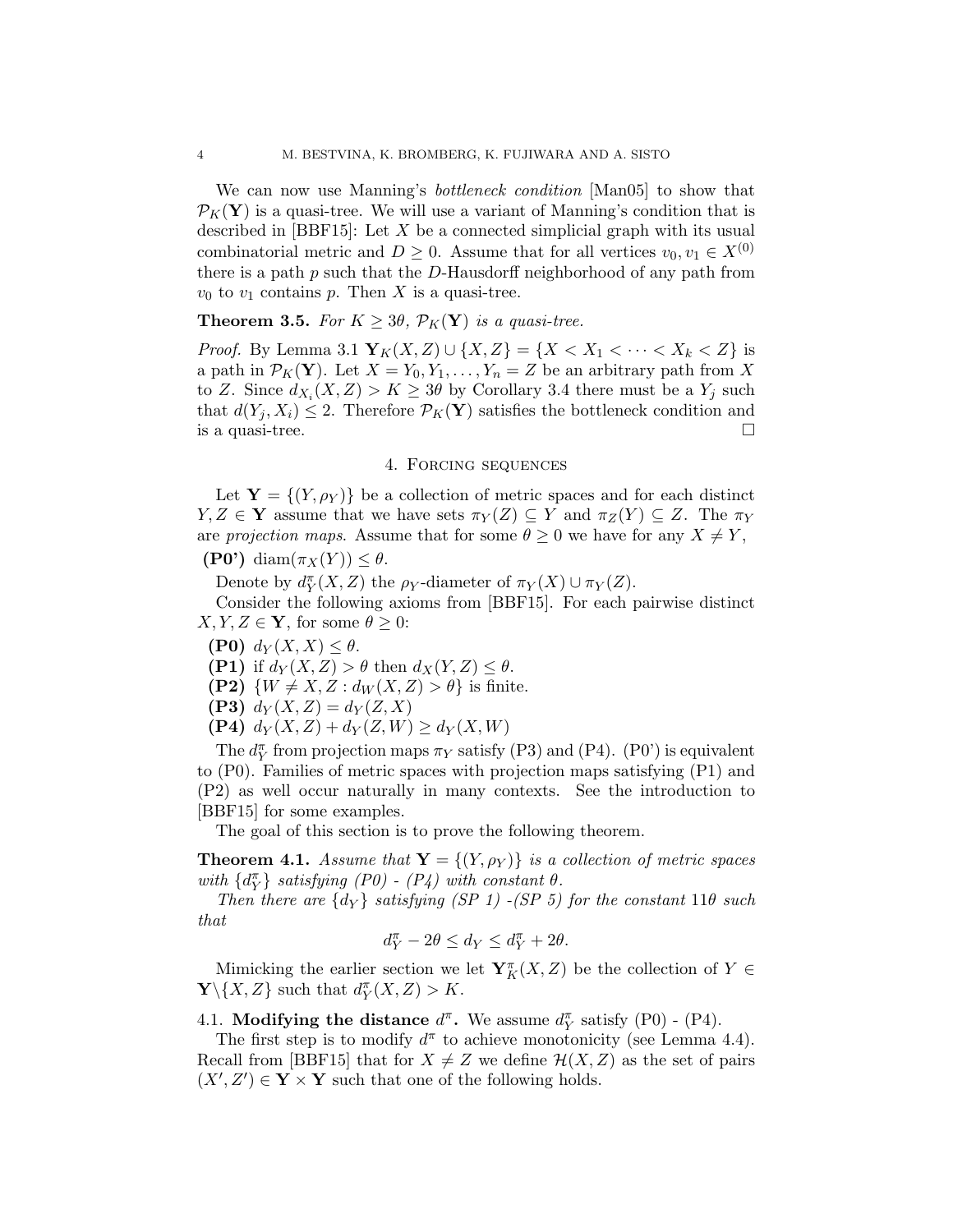We can now use Manning's bottleneck condition [Man05] to show that  $\mathcal{P}_K(\mathbf{Y})$  is a quasi-tree. We will use a variant of Manning's condition that is described in  $[BBF15]$ : Let X be a connected simplicial graph with its usual combinatorial metric and  $D \geq 0$ . Assume that for all vertices  $v_0, v_1 \in X^{(0)}$ there is a path  $p$  such that the  $D$ -Hausdorff neighborhood of any path from  $v_0$  to  $v_1$  contains p. Then X is a quasi-tree.

# **Theorem 3.5.** For  $K \geq 3\theta$ ,  $\mathcal{P}_K(\mathbf{Y})$  is a quasi-tree.

*Proof.* By Lemma 3.1  $Y_K(X, Z) \cup \{X, Z\} = \{X < X_1 < \cdots < X_k < Z\}$  is a path in  $\mathcal{P}_K(\mathbf{Y})$ . Let  $X = Y_0, Y_1, \ldots, Y_n = Z$  be an arbitrary path from X to Z. Since  $d_{X_i}(X, Z) > K \geq 3\theta$  by Corollary 3.4 there must be a  $Y_j$  such that  $d(Y_i, X_i) \leq 2$ . Therefore  $\mathcal{P}_K(\mathbf{Y})$  satisfies the bottleneck condition and is a quasi-tree.  $\Box$ 

#### 4. Forcing sequences

Let  $Y = \{(Y, \rho_Y)\}\$ be a collection of metric spaces and for each distinct  $Y, Z \in Y$  assume that we have sets  $\pi_Y(Z) \subseteq Y$  and  $\pi_Z(Y) \subseteq Z$ . The  $\pi_Y$ are projection maps. Assume that for some  $\theta \geq 0$  we have for any  $X \neq Y$ ,

(P0') diam $(\pi_X(Y)) \leq \theta$ .

Denote by  $d^{\pi}_Y(X, Z)$  the  $\rho_Y$ -diameter of  $\pi_Y(X) \cup \pi_Y(Z)$ .

Consider the following axioms from [BBF15]. For each pairwise distinct  $X, Y, Z \in \mathbf{Y}$ , for some  $\theta \geq 0$ :

- (P0)  $d_Y(X, X) \leq \theta$ .
- (P1) if  $d_Y(X, Z) > \theta$  then  $d_X(Y, Z) \leq \theta$ .

(P2)  $\{W \neq X, Z : d_W(X, Z) > \theta\}$  is finite.

(P3)  $d_Y(X,Z) = d_Y(Z,X)$ 

(P4)  $d_Y(X, Z) + d_Y(Z, W) \ge d_Y(X, W)$ 

The  $d^{\pi}_Y$  from projection maps  $\pi_Y$  satisfy (P3) and (P4). (P0') is equivalent to (P0). Families of metric spaces with projection maps satisfying (P1) and (P2) as well occur naturally in many contexts. See the introduction to [BBF15] for some examples.

The goal of this section is to prove the following theorem.

**Theorem 4.1.** Assume that  $Y = \{(Y, \rho_Y)\}\$ is a collection of metric spaces with  $\{d^{\pi}_Y\}$  satisfying (P0) - (P4) with constant  $\theta$ .

Then there are  $\{d_Y\}$  satisfying (SP 1) -(SP 5) for the constant 11 $\theta$  such that

$$
d_Y^{\pi} - 2\theta \le d_Y \le d_Y^{\pi} + 2\theta.
$$

Mimicking the earlier section we let  $\mathbf{Y}^{\pi}_K(X,Z)$  be the collection of  $Y \in$  $\mathbf{Y}\backslash\{X,Z\}$  such that  $d^{\pi}_Y(X,Z) > K$ .

4.1. Modifying the distance  $d^{\pi}$ . We assume  $d^{\pi}_Y$  satisfy (P0) - (P4).

The first step is to modify  $d^{\pi}$  to achieve monotonicity (see Lemma 4.4). Recall from [BBF15] that for  $X \neq Z$  we define  $\mathcal{H}(X, Z)$  as the set of pairs  $(X', Z') \in Y \times Y$  such that one of the following holds.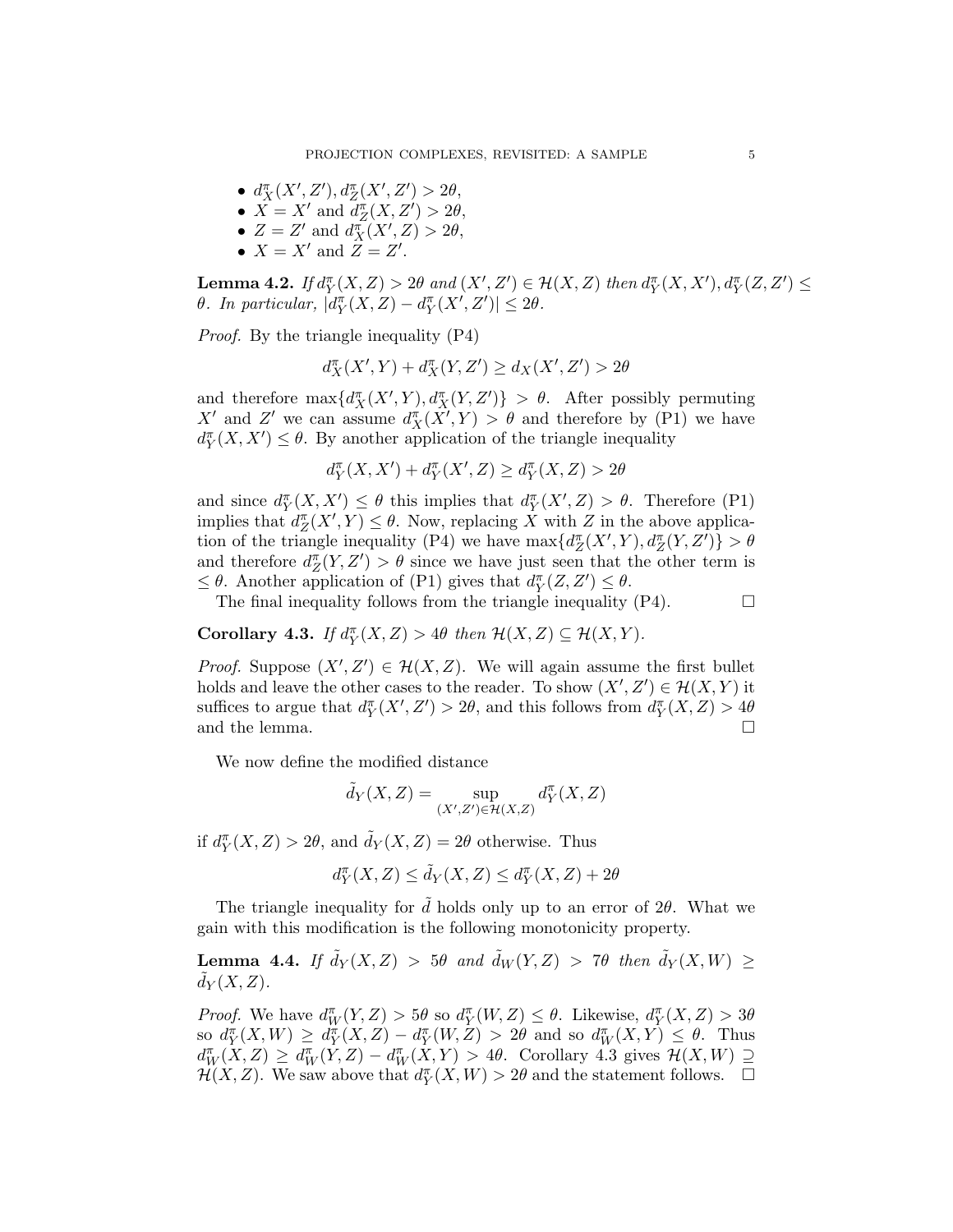- $d_{X}^{\pi}(X', Z'), d_{Z}^{\pi}(X', Z') > 2\theta,$
- $\overline{X} = X'$  and  $\overline{d}_Z^{\pi}(X, Z') > 2\theta$ ,
- $Z = Z'$  and  $d_X^{\pi}(X', Z) > 2\theta$ ,
- $X = X'$  and  $\overline{Z} = Z'$ .

**Lemma 4.2.** If  $d_Y^{\pi}(X, Z) > 2\theta$  and  $(X', Z') \in \mathcal{H}(X, Z)$  then  $d_Y^{\pi}(X, X')$ ,  $d_Y^{\pi}(Z, Z') \le$ θ. In particular,  $\left| \tilde{d}_Y^{\pi}(X, Z) - d_Y^{\pi}(X', Z') \right| \leq 2\theta$ .

Proof. By the triangle inequality (P4)

$$
d_X^{\pi}(X',Y) + d_X^{\pi}(Y,Z') \ge d_X(X',Z') > 2\theta
$$

and therefore  $\max\{d_{X}^{\pi}(X',Y), d_{X}^{\pi}(Y, Z')\} > \theta$ . After possibly permuting X' and Z' we can assume  $d_{X}^{\pi}(\tilde{X}', Y) > \theta$  and therefore by (P1) we have  $d^{\pi}_Y(X, X') \leq \theta$ . By another application of the triangle inequality

$$
d_Y^{\pi}(X, X') + d_Y^{\pi}(X', Z) \ge d_Y^{\pi}(X, Z) > 2\theta
$$

and since  $d^{\pi}_Y(X, X') \leq \theta$  this implies that  $d^{\pi}_Y(X', Z) > \theta$ . Therefore (P1) implies that  $d_Z^{\pi}(X', Y) \leq \theta$ . Now, replacing X with Z in the above application of the triangle inequality (P4) we have  $\max\{d_Z^{\pi}(X', Y), d_Z^{\pi}(Y, Z')\} > \theta$ and therefore  $d_Z^{\pi}(Y, Z') > \theta$  since we have just seen that the other term is  $\leq \theta$ . Another application of (P1) gives that  $d^{\pi}_Y(Z, Z') \leq \theta$ .

The final inequality follows from the triangle inequality  $(P4)$ .  $\Box$ 

Corollary 4.3. If  $d^{\pi}_Y(X, Z) > 4\theta$  then  $\mathcal{H}(X, Z) \subseteq \mathcal{H}(X, Y)$ .

*Proof.* Suppose  $(X', Z') \in \mathcal{H}(X, Z)$ . We will again assume the first bullet holds and leave the other cases to the reader. To show  $(X', Z') \in \mathcal{H}(X, Y)$  it suffices to argue that  $d^{\pi}_Y(X', Z') > 2\theta$ , and this follows from  $d^{\pi}_Y(X, Z) > 4\theta$ and the lemma.  $\hfill \square$ 

We now define the modified distance

$$
\tilde{d}_Y(X, Z) = \sup_{(X', Z') \in \mathcal{H}(X, Z)} d^{\pi}_Y(X, Z)
$$

if  $d^{\pi}_Y(X, Z) > 2\theta$ , and  $\tilde{d}_Y(X, Z) = 2\theta$  otherwise. Thus

$$
d^\pi_Y(X,Z) \le \tilde d_Y(X,Z) \le d^\pi_Y(X,Z) + 2\theta
$$

The triangle inequality for  $d$  holds only up to an error of  $2\theta$ . What we gain with this modification is the following monotonicity property.

**Lemma 4.4.** If  $\tilde{d}_Y(X, Z) > 5\theta$  and  $\tilde{d}_W(Y, Z) > 7\theta$  then  $\tilde{d}_Y(X, W) \ge$  $d_Y(X, Z)$ .

*Proof.* We have  $d_W^{\pi}(Y, Z) > 5\theta$  so  $d_Y^{\pi}(W, Z) \leq \theta$ . Likewise,  $d_Y^{\pi}(X, Z) > 3\theta$ so  $d_Y^{\pi}(X, W) \geq d_Y^{\pi}(X, Z) - d_Y^{\pi}(W, Z) > 2\theta$  and so  $d_W^{\pi}(X, Y) \leq \theta$ . Thus  $d_W^{\pi}(X, Z) \geq d_W^{\pi}(\hat{Y}, Z) - d_W^{\pi}(\hat{X}, Y) > 4\theta$ . Corollary 4.3 gives  $\mathcal{H}(X, W) \supseteq$  $\mathcal{H}(X,Z)$ . We saw above that  $d^{\pi}_Y(X,W) > 2\theta$  and the statement follows.  $\Box$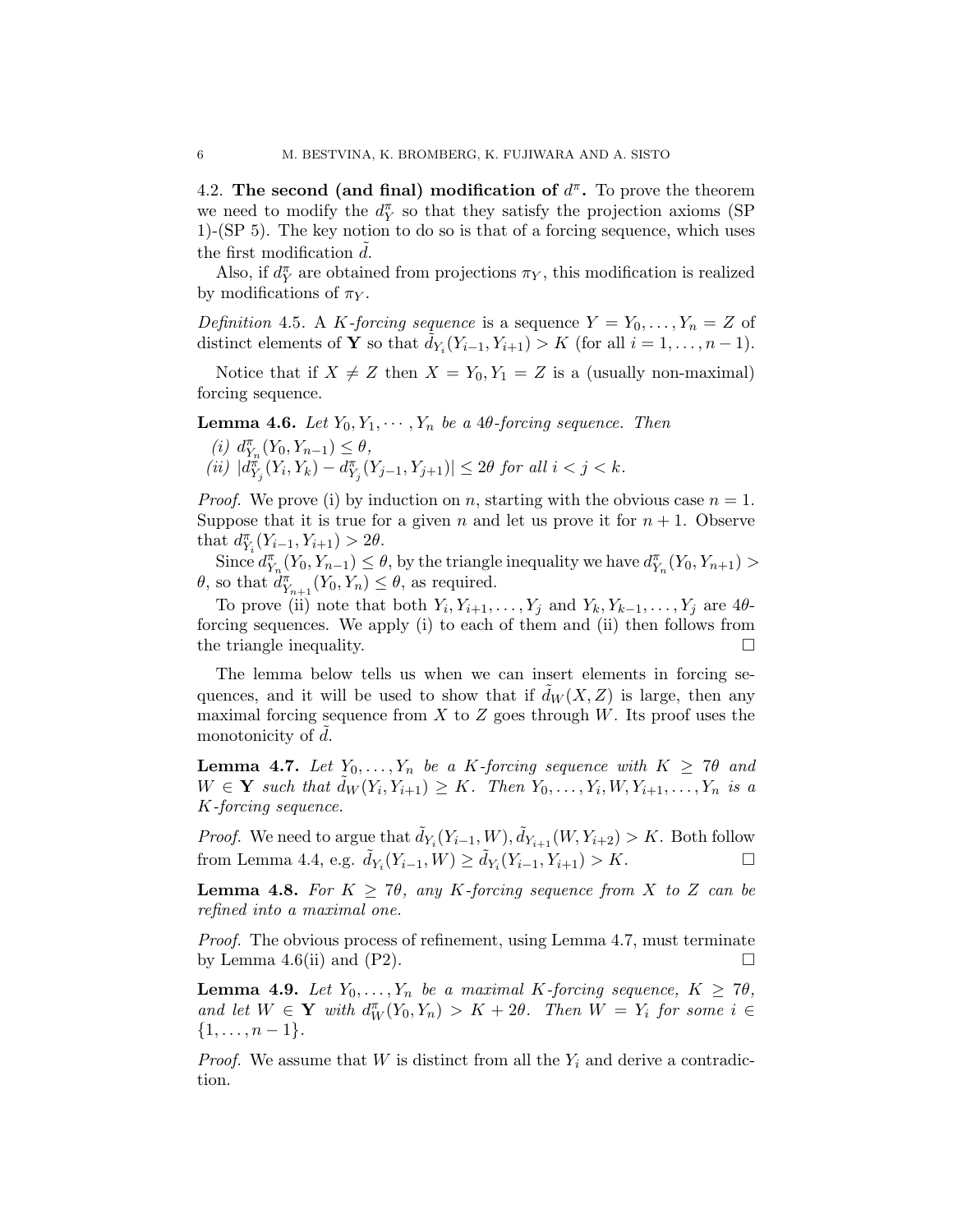4.2. The second (and final) modification of  $d^{\pi}$ . To prove the theorem we need to modify the  $d_Y^{\pi}$  so that they satisfy the projection axioms (SP 1)-(SP 5). The key notion to do so is that of a forcing sequence, which uses the first modification  $d$ .

Also, if  $d^{\pi}_Y$  are obtained from projections  $\pi_Y$ , this modification is realized by modifications of  $\pi_Y$ .

Definition 4.5. A K-forcing sequence is a sequence  $Y = Y_0, \ldots, Y_n = Z$  of distinct elements of **Y** so that  $\tilde{d}_{Y_i}(Y_{i-1}, Y_{i+1}) > K$  (for all  $i = 1, ..., n-1$ ).

Notice that if  $X \neq Z$  then  $X = Y_0, Y_1 = Z$  is a (usually non-maximal) forcing sequence.

**Lemma 4.6.** Let  $Y_0, Y_1, \cdots, Y_n$  be a 40-forcing sequence. Then

(*i*)  $d_{Y_n}^{\pi}(Y_0, Y_{n-1}) \leq \theta$ ,  $(iii) |d_{Y_j}^{\pi}(Y_i,Y_k) - d_{Y_j}^{\pi}(Y_{j-1},Y_{j+1})| \leq 2\theta$  for all  $i < j < k$ .

*Proof.* We prove (i) by induction on n, starting with the obvious case  $n = 1$ . Suppose that it is true for a given n and let us prove it for  $n + 1$ . Observe that  $d_{Y_i}^{\pi}(Y_{i-1}, Y_{i+1}) > 2\theta$ .

Since  $d_{Y_n}^{\pi}(Y_0, Y_{n-1}) \leq \theta$ , by the triangle inequality we have  $d_{Y_n}^{\pi}(Y_0, Y_{n+1}) >$  $\theta$ , so that  $d_{Y_{n+1}}^{\pi}(Y_0, Y_n) \leq \theta$ , as required.

To prove (ii) note that both  $Y_i, Y_{i+1}, \ldots, Y_j$  and  $Y_k, Y_{k-1}, \ldots, Y_j$  are  $4\theta$ forcing sequences. We apply (i) to each of them and (ii) then follows from the triangle inequality.  $\Box$ 

The lemma below tells us when we can insert elements in forcing sequences, and it will be used to show that if  $d_W(X, Z)$  is large, then any maximal forcing sequence from  $X$  to  $Z$  goes through  $W$ . Its proof uses the monotonicity of  $d$ .

**Lemma 4.7.** Let  $Y_0, \ldots, Y_n$  be a K-forcing sequence with  $K \geq 7\theta$  and  $W \in \mathbf{Y}$  such that  $\tilde{d}_W(Y_i, Y_{i+1}) \geq K$ . Then  $Y_0, \ldots, Y_i, W, Y_{i+1}, \ldots, Y_n$  is a K-forcing sequence.

*Proof.* We need to argue that  $\tilde{d}_{Y_i}(Y_{i-1}, W), \tilde{d}_{Y_{i+1}}(W, Y_{i+2}) > K$ . Both follow from Lemma 4.4, e.g.  $\tilde{d}_{Y_i}(Y_{i-1}, W) \ge \tilde{d}_{Y_i}(Y_{i-1}, Y_{i+1}) > K.$ 

**Lemma 4.8.** For  $K \geq 7\theta$ , any K-forcing sequence from X to Z can be refined into a maximal one.

Proof. The obvious process of refinement, using Lemma 4.7, must terminate by Lemma 4.6(ii) and (P2).  $\Box$ 

**Lemma 4.9.** Let  $Y_0, \ldots, Y_n$  be a maximal K-forcing sequence,  $K \geq 7\theta$ , and let  $W \in Y$  with  $d^{\pi}_W(Y_0, Y_n) > K + 2\theta$ . Then  $W = Y_i$  for some  $i \in Y$  $\{1, \ldots, n-1\}.$ 

*Proof.* We assume that W is distinct from all the  $Y_i$  and derive a contradiction.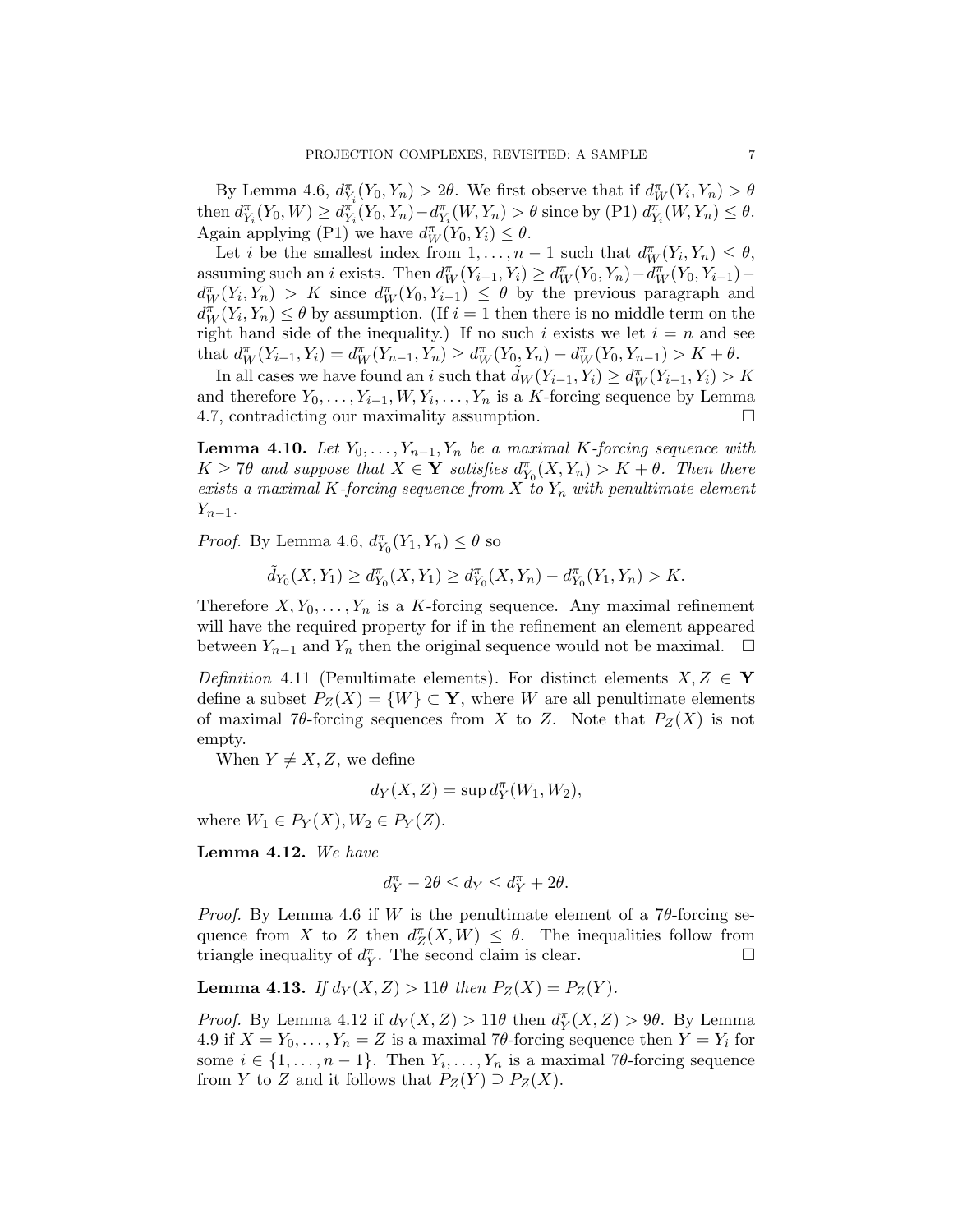By Lemma 4.6,  $d_{Y_i}^{\pi}(Y_0, Y_n) > 2\theta$ . We first observe that if  $d_W^{\pi}(Y_i, Y_n) > \theta$ then  $d_{Y_i}^{\pi}(Y_0, W) \geq d_{Y_i}^{\pi}(Y_0, Y_n) - d_{Y_i}^{\pi}(W, Y_n) > \theta$  since by (P1)  $d_{Y_i}^{\pi}(W, Y_n) \leq \theta$ . Again applying (P1) we have  $d_W^{\pi}(Y_0, Y_i) \leq \theta$ .

Let *i* be the smallest index from  $1, \ldots, n-1$  such that  $d_W^{\pi}(Y_i, Y_n) \leq \theta$ , assuming such an *i* exists. Then  $d_W^{\pi}(Y_{i-1}, Y_i) \ge d_W^{\pi}(Y_0, Y_n) - d_W^{\pi}(Y_0, Y_{i-1})$  $d_W^{\pi}(Y_i,Y_n) > K$  since  $d_W^{\pi}(Y_0,Y_{i-1}) \leq \theta$  by the previous paragraph and  $d_W^{\pi}(Y_i, Y_n) \leq \theta$  by assumption. (If  $i = 1$  then there is no middle term on the right hand side of the inequality.) If no such i exists we let  $i = n$  and see that  $d_W^{\pi}(Y_{i-1}, Y_i) = d_W^{\pi}(Y_{n-1}, Y_n) \ge d_W^{\pi}(Y_0, Y_n) - d_W^{\pi}(Y_0, Y_{n-1}) > K + \theta.$ 

In all cases we have found an i such that  $\tilde{d}_W(Y_{i-1}, Y_i) \ge d_W^{\pi}(Y_{i-1}, Y_i) > K$ and therefore  $Y_0, \ldots, Y_{i-1}, W, Y_i, \ldots, Y_n$  is a K-forcing sequence by Lemma 4.7, contradicting our maximality assumption.

**Lemma 4.10.** Let  $Y_0, \ldots, Y_{n-1}, Y_n$  be a maximal K-forcing sequence with  $K \geq 7\theta$  and suppose that  $X \in \mathbf{Y}$  satisfies  $d_{Y_0}^{\pi}(X, Y_n) > K + \theta$ . Then there exists a maximal K-forcing sequence from X to  $Y_n$  with penultimate element  $Y_{n-1}$ .

*Proof.* By Lemma 4.6,  $d_{Y_0}^{\pi}(Y_1, Y_n) \le \theta$  so

$$
\tilde{d}_{Y_0}(X,Y_1) \ge d^{\pi}_{Y_0}(X,Y_1) \ge d^{\pi}_{Y_0}(X,Y_n) - d^{\pi}_{Y_0}(Y_1,Y_n) > K.
$$

Therefore  $X, Y_0, \ldots, Y_n$  is a K-forcing sequence. Any maximal refinement will have the required property for if in the refinement an element appeared between  $Y_{n-1}$  and  $Y_n$  then the original sequence would not be maximal.  $\Box$ 

Definition 4.11 (Penultimate elements). For distinct elements  $X, Z \in Y$ define a subset  $P_Z(X) = \{W\} \subset \mathbf{Y}$ , where W are all penultimate elements of maximal 7θ-forcing sequences from X to Z. Note that  $P_Z(X)$  is not empty.

When  $Y \neq X, Z$ , we define

$$
d_Y(X, Z) = \sup d_Y^{\pi}(W_1, W_2),
$$

where  $W_1 \in P_Y(X), W_2 \in P_Y(Z)$ .

Lemma 4.12. We have

$$
d^{\pi}_Y-2\theta\leq d_Y\leq d^{\pi}_Y+2\theta.
$$

*Proof.* By Lemma 4.6 if W is the penultimate element of a  $7\theta$ -forcing sequence from X to Z then  $d_Z^{\pi}(X, W) \leq \theta$ . The inequalities follow from triangle inequality of  $d_Y^{\pi}$ . The second claim is clear.

Lemma 4.13. If  $d_Y(X, Z) > 11\theta$  then  $P_Z(X) = P_Z(Y)$ .

*Proof.* By Lemma 4.12 if  $d_Y(X, Z) > 11\theta$  then  $d_Y^{\pi}(X, Z) > 9\theta$ . By Lemma 4.9 if  $X = Y_0, \ldots, Y_n = Z$  is a maximal 70-forcing sequence then  $Y = Y_i$  for some  $i \in \{1, \ldots, n-1\}$ . Then  $Y_i, \ldots, Y_n$  is a maximal 7 $\theta$ -forcing sequence from Y to Z and it follows that  $P_Z(Y) \supseteq P_Z(X)$ .